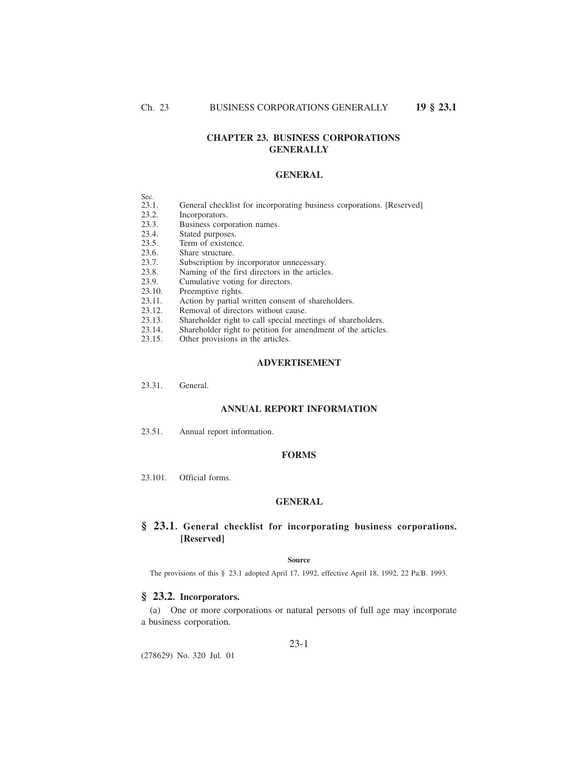# **CHAPTER 23. BUSINESS CORPORATIONS GENERALLY**

## **GENERAL**

- Sec.<br>23.1.
- General checklist for incorporating business corporations. [Reserved]
- 23.2. Incorporators.
- 23.3. Business corporation names.<br>23.4. Stated purposes.
- 23.4. Stated purposes.<br>23.5. Term of existence
- 23.5. Term of existence.<br>23.6. Share structure.
- 23.6. Share structure.<br>23.7. Subscription by
- 23.7. Subscription by incorporator unnecessary.<br>23.8. Naming of the first directors in the article
- 23.8. Naming of the first directors in the articles.<br>23.9. Cumulative voting for directors.
- 23.9. Cumulative voting for directors.<br>23.10. Preemptive rights.
- Preemptive rights.
- 23.11. Action by partial written consent of shareholders.<br>23.12. Removal of directors without cause.
- 23.12. Removal of directors without cause.<br>23.13. Shareholder right to call special mee
- 23.13. Shareholder right to call special meetings of shareholders.<br>23.14. Shareholder right to petition for amendment of the articles
- 23.14. Shareholder right to petition for amendment of the articles.<br>23.15. Other provisions in the articles.
- Other provisions in the articles.

## **ADVERTISEMENT**

23.31. General.

## **ANNUAL REPORT INFORMATION**

23.51. Annual report information.

## **FORMS**

23.101. Official forms.

### **GENERAL**

# **§ 23.1. General checklist for incorporating business corporations. [Reserved]**

#### **Source**

The provisions of this § 23.1 adopted April 17, 1992, effective April 18, 1992, 22 Pa.B. 1993.

# **§ 23.2. Incorporators.**

(a) One or more corporations or natural persons of full age may incorporate a business corporation.

# 23-1

(278629) No. 320 Jul. 01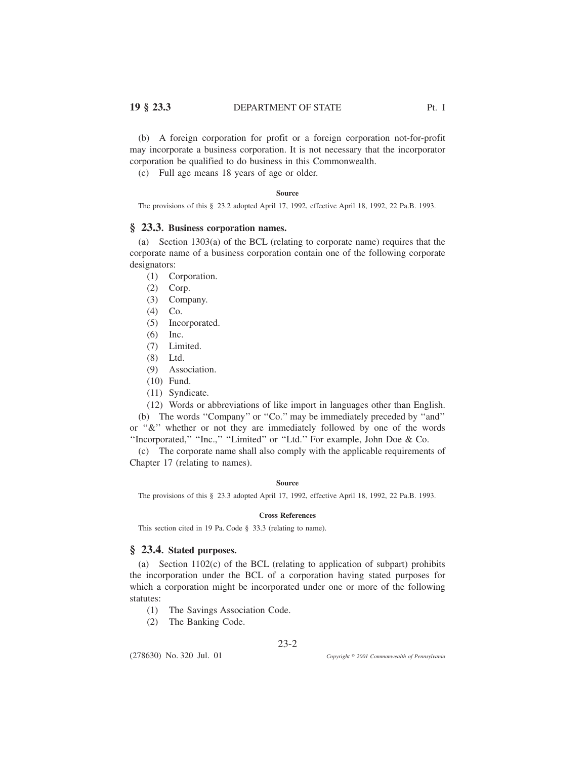(b) A foreign corporation for profit or a foreign corporation not-for-profit may incorporate a business corporation. It is not necessary that the incorporator corporation be qualified to do business in this Commonwealth.

(c) Full age means 18 years of age or older.

### **Source**

The provisions of this § 23.2 adopted April 17, 1992, effective April 18, 1992, 22 Pa.B. 1993.

## **§ 23.3. Business corporation names.**

(a) Section 1303(a) of the BCL (relating to corporate name) requires that the corporate name of a business corporation contain one of the following corporate designators:

- (1) Corporation.
- (2) Corp.
- (3) Company.
- (4) Co.
- (5) Incorporated.
- (6) Inc.
- (7) Limited.
- (8) Ltd.
- (9) Association.
- (10) Fund.
- (11) Syndicate.
- (12) Words or abbreviations of like import in languages other than English.

(b) The words ''Company'' or ''Co.'' may be immediately preceded by ''and'' or ''&'' whether or not they are immediately followed by one of the words ''Incorporated,'' ''Inc.,'' ''Limited'' or ''Ltd.'' For example, John Doe & Co.

(c) The corporate name shall also comply with the applicable requirements of Chapter 17 (relating to names).

#### **Source**

The provisions of this § 23.3 adopted April 17, 1992, effective April 18, 1992, 22 Pa.B. 1993.

### **Cross References**

This section cited in 19 Pa. Code § 33.3 (relating to name).

# **§ 23.4. Stated purposes.**

(a) Section 1102(c) of the BCL (relating to application of subpart) prohibits the incorporation under the BCL of a corporation having stated purposes for which a corporation might be incorporated under one or more of the following statutes:

- (1) The Savings Association Code.
- (2) The Banking Code.

(278630) No. 320 Jul. 01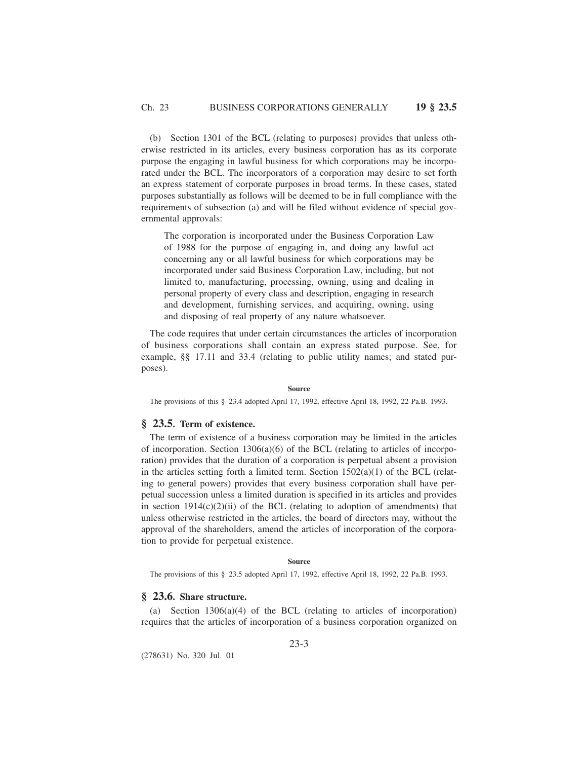(b) Section 1301 of the BCL (relating to purposes) provides that unless otherwise restricted in its articles, every business corporation has as its corporate purpose the engaging in lawful business for which corporations may be incorporated under the BCL. The incorporators of a corporation may desire to set forth an express statement of corporate purposes in broad terms. In these cases, stated purposes substantially as follows will be deemed to be in full compliance with the requirements of subsection (a) and will be filed without evidence of special governmental approvals:

The corporation is incorporated under the Business Corporation Law of 1988 for the purpose of engaging in, and doing any lawful act concerning any or all lawful business for which corporations may be incorporated under said Business Corporation Law, including, but not limited to, manufacturing, processing, owning, using and dealing in personal property of every class and description, engaging in research and development, furnishing services, and acquiring, owning, using and disposing of real property of any nature whatsoever.

The code requires that under certain circumstances the articles of incorporation of business corporations shall contain an express stated purpose. See, for example, §§ 17.11 and 33.4 (relating to public utility names; and stated purposes).

### **Source**

The provisions of this § 23.4 adopted April 17, 1992, effective April 18, 1992, 22 Pa.B. 1993.

## **§ 23.5. Term of existence.**

The term of existence of a business corporation may be limited in the articles of incorporation. Section  $1306(a)(6)$  of the BCL (relating to articles of incorporation) provides that the duration of a corporation is perpetual absent a provision in the articles setting forth a limited term. Section  $1502(a)(1)$  of the BCL (relating to general powers) provides that every business corporation shall have perpetual succession unless a limited duration is specified in its articles and provides in section  $1914(c)(2)(ii)$  of the BCL (relating to adoption of amendments) that unless otherwise restricted in the articles, the board of directors may, without the approval of the shareholders, amend the articles of incorporation of the corporation to provide for perpetual existence.

#### **Source**

The provisions of this § 23.5 adopted April 17, 1992, effective April 18, 1992, 22 Pa.B. 1993.

# **§ 23.6. Share structure.**

(a) Section 1306(a)(4) of the BCL (relating to articles of incorporation) requires that the articles of incorporation of a business corporation organized on

23-3

(278631) No. 320 Jul. 01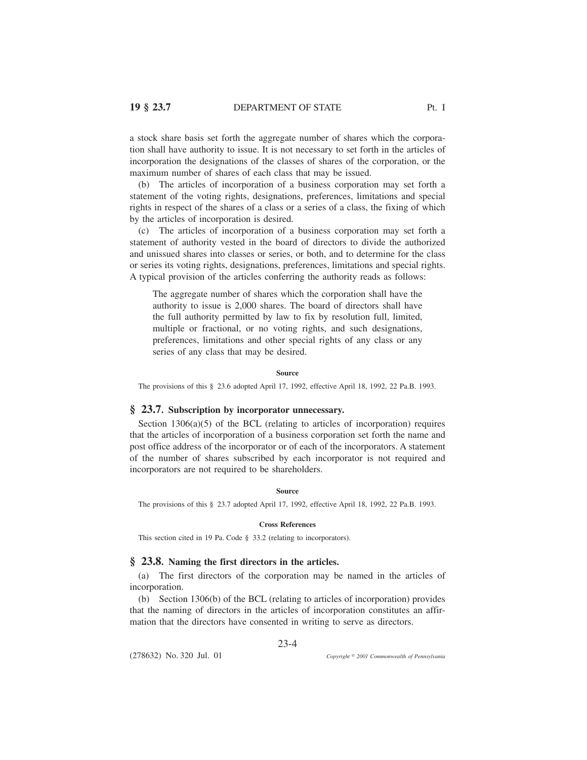a stock share basis set forth the aggregate number of shares which the corporation shall have authority to issue. It is not necessary to set forth in the articles of incorporation the designations of the classes of shares of the corporation, or the maximum number of shares of each class that may be issued.

(b) The articles of incorporation of a business corporation may set forth a statement of the voting rights, designations, preferences, limitations and special rights in respect of the shares of a class or a series of a class, the fixing of which by the articles of incorporation is desired.

(c) The articles of incorporation of a business corporation may set forth a statement of authority vested in the board of directors to divide the authorized and unissued shares into classes or series, or both, and to determine for the class or series its voting rights, designations, preferences, limitations and special rights. A typical provision of the articles conferring the authority reads as follows:

The aggregate number of shares which the corporation shall have the authority to issue is 2,000 shares. The board of directors shall have the full authority permitted by law to fix by resolution full, limited, multiple or fractional, or no voting rights, and such designations, preferences, limitations and other special rights of any class or any series of any class that may be desired.

### **Source**

The provisions of this § 23.6 adopted April 17, 1992, effective April 18, 1992, 22 Pa.B. 1993.

## **§ 23.7. Subscription by incorporator unnecessary.**

Section  $1306(a)(5)$  of the BCL (relating to articles of incorporation) requires that the articles of incorporation of a business corporation set forth the name and post office address of the incorporator or of each of the incorporators. A statement of the number of shares subscribed by each incorporator is not required and incorporators are not required to be shareholders.

### **Source**

The provisions of this § 23.7 adopted April 17, 1992, effective April 18, 1992, 22 Pa.B. 1993.

#### **Cross References**

This section cited in 19 Pa. Code § 33.2 (relating to incorporators).

## **§ 23.8. Naming the first directors in the articles.**

(a) The first directors of the corporation may be named in the articles of incorporation.

(b) Section 1306(b) of the BCL (relating to articles of incorporation) provides that the naming of directors in the articles of incorporation constitutes an affirmation that the directors have consented in writing to serve as directors.

23-4

(278632) No. 320 Jul. 01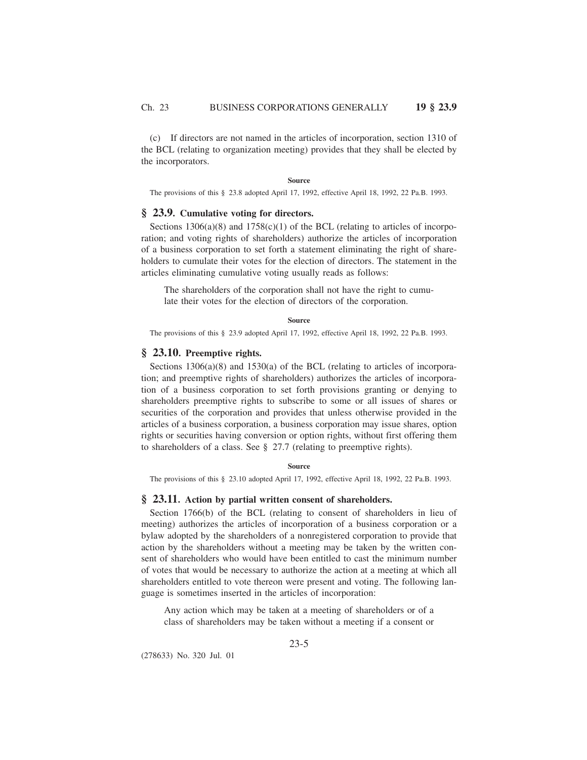(c) If directors are not named in the articles of incorporation, section 1310 of the BCL (relating to organization meeting) provides that they shall be elected by the incorporators.

#### **Source**

The provisions of this § 23.8 adopted April 17, 1992, effective April 18, 1992, 22 Pa.B. 1993.

# **§ 23.9. Cumulative voting for directors.**

Sections  $1306(a)(8)$  and  $1758(c)(1)$  of the BCL (relating to articles of incorporation; and voting rights of shareholders) authorize the articles of incorporation of a business corporation to set forth a statement eliminating the right of shareholders to cumulate their votes for the election of directors. The statement in the articles eliminating cumulative voting usually reads as follows:

The shareholders of the corporation shall not have the right to cumulate their votes for the election of directors of the corporation.

#### **Source**

The provisions of this § 23.9 adopted April 17, 1992, effective April 18, 1992, 22 Pa.B. 1993.

# **§ 23.10. Preemptive rights.**

Sections 1306(a)(8) and 1530(a) of the BCL (relating to articles of incorporation; and preemptive rights of shareholders) authorizes the articles of incorporation of a business corporation to set forth provisions granting or denying to shareholders preemptive rights to subscribe to some or all issues of shares or securities of the corporation and provides that unless otherwise provided in the articles of a business corporation, a business corporation may issue shares, option rights or securities having conversion or option rights, without first offering them to shareholders of a class. See § 27.7 (relating to preemptive rights).

### **Source**

The provisions of this § 23.10 adopted April 17, 1992, effective April 18, 1992, 22 Pa.B. 1993.

## **§ 23.11. Action by partial written consent of shareholders.**

Section 1766(b) of the BCL (relating to consent of shareholders in lieu of meeting) authorizes the articles of incorporation of a business corporation or a bylaw adopted by the shareholders of a nonregistered corporation to provide that action by the shareholders without a meeting may be taken by the written consent of shareholders who would have been entitled to cast the minimum number of votes that would be necessary to authorize the action at a meeting at which all shareholders entitled to vote thereon were present and voting. The following language is sometimes inserted in the articles of incorporation:

Any action which may be taken at a meeting of shareholders or of a class of shareholders may be taken without a meeting if a consent or

23-5

(278633) No. 320 Jul. 01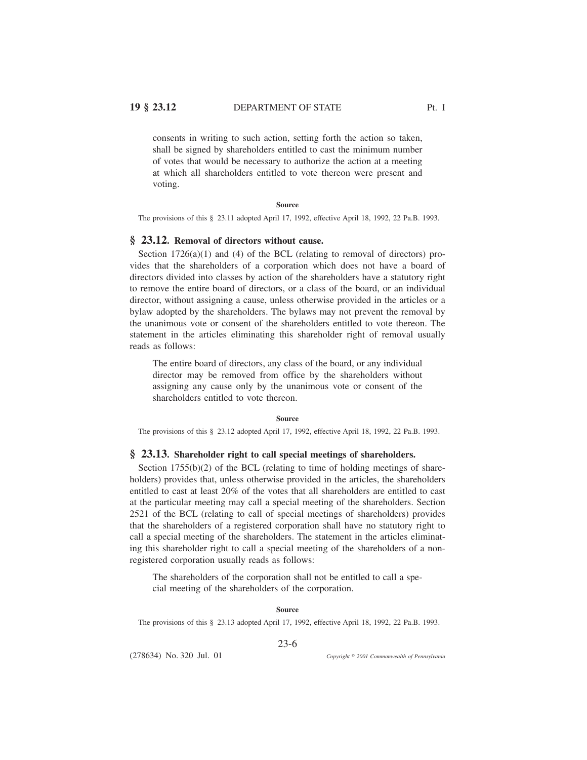# **19 § 23.12** DEPARTMENT OF STATE Pt. I

consents in writing to such action, setting forth the action so taken, shall be signed by shareholders entitled to cast the minimum number of votes that would be necessary to authorize the action at a meeting at which all shareholders entitled to vote thereon were present and voting.

### **Source**

The provisions of this § 23.11 adopted April 17, 1992, effective April 18, 1992, 22 Pa.B. 1993.

## **§ 23.12. Removal of directors without cause.**

Section 1726(a)(1) and (4) of the BCL (relating to removal of directors) provides that the shareholders of a corporation which does not have a board of directors divided into classes by action of the shareholders have a statutory right to remove the entire board of directors, or a class of the board, or an individual director, without assigning a cause, unless otherwise provided in the articles or a bylaw adopted by the shareholders. The bylaws may not prevent the removal by the unanimous vote or consent of the shareholders entitled to vote thereon. The statement in the articles eliminating this shareholder right of removal usually reads as follows:

The entire board of directors, any class of the board, or any individual director may be removed from office by the shareholders without assigning any cause only by the unanimous vote or consent of the shareholders entitled to vote thereon.

**Source**

The provisions of this § 23.12 adopted April 17, 1992, effective April 18, 1992, 22 Pa.B. 1993.

## **§ 23.13. Shareholder right to call special meetings of shareholders.**

Section 1755(b)(2) of the BCL (relating to time of holding meetings of shareholders) provides that, unless otherwise provided in the articles, the shareholders entitled to cast at least 20% of the votes that all shareholders are entitled to cast at the particular meeting may call a special meeting of the shareholders. Section 2521 of the BCL (relating to call of special meetings of shareholders) provides that the shareholders of a registered corporation shall have no statutory right to call a special meeting of the shareholders. The statement in the articles eliminating this shareholder right to call a special meeting of the shareholders of a nonregistered corporation usually reads as follows:

The shareholders of the corporation shall not be entitled to call a special meeting of the shareholders of the corporation.

#### **Source**

The provisions of this § 23.13 adopted April 17, 1992, effective April 18, 1992, 22 Pa.B. 1993.

23-6

(278634) No. 320 Jul. 01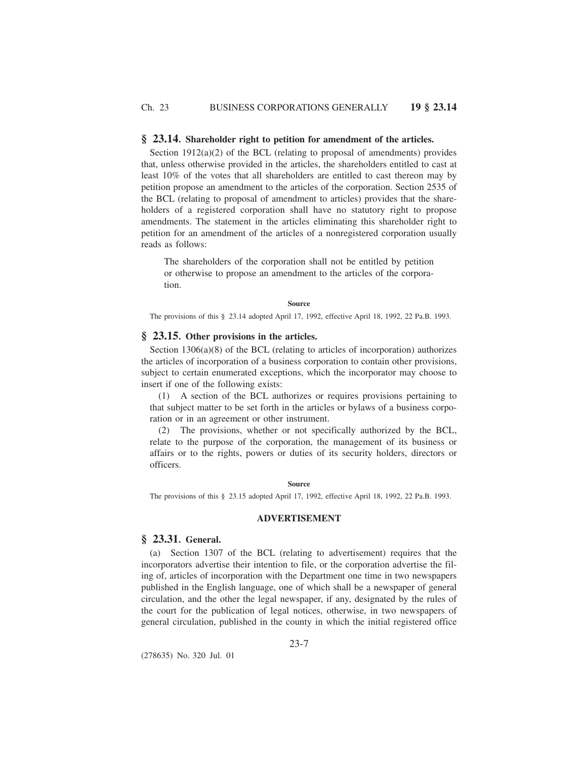## **§ 23.14. Shareholder right to petition for amendment of the articles.**

Section  $1912(a)(2)$  of the BCL (relating to proposal of amendments) provides that, unless otherwise provided in the articles, the shareholders entitled to cast at least 10% of the votes that all shareholders are entitled to cast thereon may by petition propose an amendment to the articles of the corporation. Section 2535 of the BCL (relating to proposal of amendment to articles) provides that the shareholders of a registered corporation shall have no statutory right to propose amendments. The statement in the articles eliminating this shareholder right to petition for an amendment of the articles of a nonregistered corporation usually reads as follows:

The shareholders of the corporation shall not be entitled by petition or otherwise to propose an amendment to the articles of the corporation.

**Source**

The provisions of this § 23.14 adopted April 17, 1992, effective April 18, 1992, 22 Pa.B. 1993.

## **§ 23.15. Other provisions in the articles.**

Section 1306(a)(8) of the BCL (relating to articles of incorporation) authorizes the articles of incorporation of a business corporation to contain other provisions, subject to certain enumerated exceptions, which the incorporator may choose to insert if one of the following exists:

(1) A section of the BCL authorizes or requires provisions pertaining to that subject matter to be set forth in the articles or bylaws of a business corporation or in an agreement or other instrument.

(2) The provisions, whether or not specifically authorized by the BCL, relate to the purpose of the corporation, the management of its business or affairs or to the rights, powers or duties of its security holders, directors or officers.

**Source**

The provisions of this § 23.15 adopted April 17, 1992, effective April 18, 1992, 22 Pa.B. 1993.

### **ADVERTISEMENT**

# **§ 23.31. General.**

(a) Section 1307 of the BCL (relating to advertisement) requires that the incorporators advertise their intention to file, or the corporation advertise the filing of, articles of incorporation with the Department one time in two newspapers published in the English language, one of which shall be a newspaper of general circulation, and the other the legal newspaper, if any, designated by the rules of the court for the publication of legal notices, otherwise, in two newspapers of general circulation, published in the county in which the initial registered office

23-7

(278635) No. 320 Jul. 01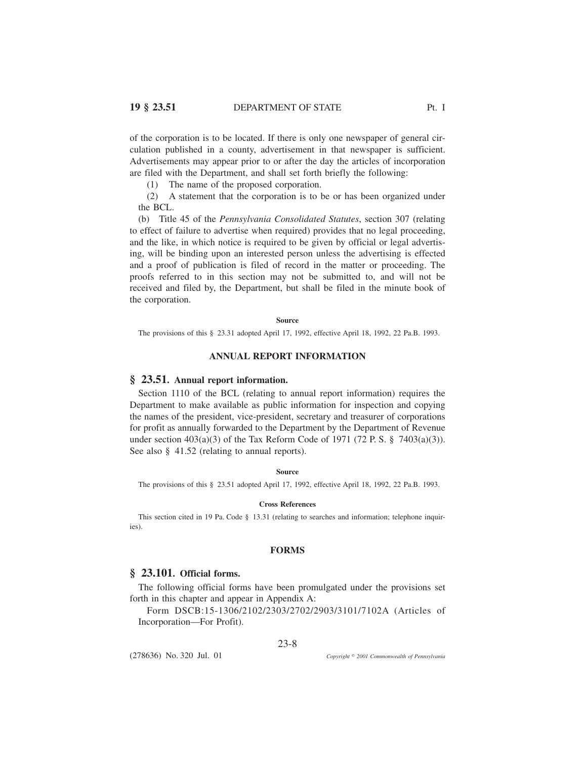of the corporation is to be located. If there is only one newspaper of general circulation published in a county, advertisement in that newspaper is sufficient. Advertisements may appear prior to or after the day the articles of incorporation are filed with the Department, and shall set forth briefly the following:

(1) The name of the proposed corporation.

(2) A statement that the corporation is to be or has been organized under the BCL.

(b) Title 45 of the *Pennsylvania Consolidated Statutes*, section 307 (relating to effect of failure to advertise when required) provides that no legal proceeding, and the like, in which notice is required to be given by official or legal advertising, will be binding upon an interested person unless the advertising is effected and a proof of publication is filed of record in the matter or proceeding. The proofs referred to in this section may not be submitted to, and will not be received and filed by, the Department, but shall be filed in the minute book of the corporation.

#### **Source**

The provisions of this § 23.31 adopted April 17, 1992, effective April 18, 1992, 22 Pa.B. 1993.

### **ANNUAL REPORT INFORMATION**

## **§ 23.51. Annual report information.**

Section 1110 of the BCL (relating to annual report information) requires the Department to make available as public information for inspection and copying the names of the president, vice-president, secretary and treasurer of corporations for profit as annually forwarded to the Department by the Department of Revenue under section  $403(a)(3)$  of the Tax Reform Code of 1971 (72 P. S. § 7403(a)(3)). See also § 41.52 (relating to annual reports).

### **Source**

The provisions of this § 23.51 adopted April 17, 1992, effective April 18, 1992, 22 Pa.B. 1993.

### **Cross References**

This section cited in 19 Pa. Code § 13.31 (relating to searches and information; telephone inquiries)

### **FORMS**

## **§ 23.101. Official forms.**

The following official forms have been promulgated under the provisions set forth in this chapter and appear in Appendix A:

Form DSCB:15-1306/2102/2303/2702/2903/3101/7102A (Articles of Incorporation—For Profit).

(278636) No. 320 Jul. 01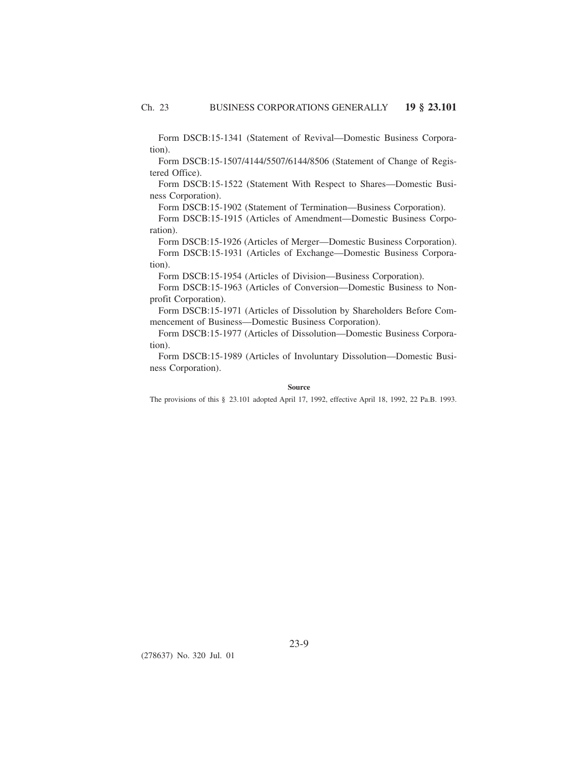Form DSCB:15-1341 (Statement of Revival—Domestic Business Corporation).

Form DSCB:15-1507/4144/5507/6144/8506 (Statement of Change of Registered Office).

Form DSCB:15-1522 (Statement With Respect to Shares—Domestic Business Corporation).

Form DSCB:15-1902 (Statement of Termination—Business Corporation).

Form DSCB:15-1915 (Articles of Amendment—Domestic Business Corporation).

Form DSCB:15-1926 (Articles of Merger—Domestic Business Corporation). Form DSCB:15-1931 (Articles of Exchange—Domestic Business Corpora-

tion).

Form DSCB:15-1954 (Articles of Division—Business Corporation).

Form DSCB:15-1963 (Articles of Conversion—Domestic Business to Nonprofit Corporation).

Form DSCB:15-1971 (Articles of Dissolution by Shareholders Before Commencement of Business—Domestic Business Corporation).

Form DSCB:15-1977 (Articles of Dissolution—Domestic Business Corporation).

Form DSCB:15-1989 (Articles of Involuntary Dissolution—Domestic Business Corporation).

## **Source**

The provisions of this § 23.101 adopted April 17, 1992, effective April 18, 1992, 22 Pa.B. 1993.